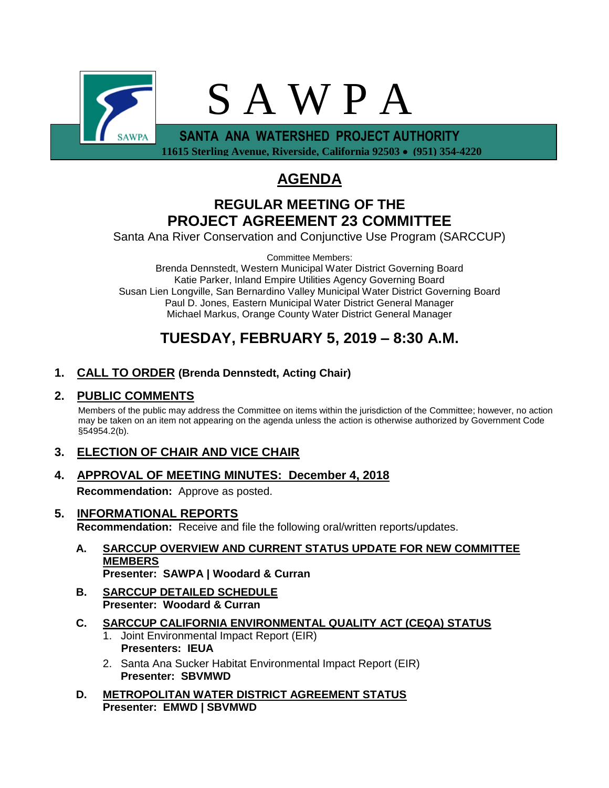

 **11615 Sterling Avenue, Riverside, California 92503** • **(951) 354-4220**

# **AGENDA**

### **REGULAR MEETING OF THE PROJECT AGREEMENT 23 COMMITTEE**

Santa Ana River Conservation and Conjunctive Use Program (SARCCUP)

Committee Members: Brenda Dennstedt, Western Municipal Water District Governing Board Katie Parker, Inland Empire Utilities Agency Governing Board Susan Lien Longville, San Bernardino Valley Municipal Water District Governing Board Paul D. Jones, Eastern Municipal Water District General Manager Michael Markus, Orange County Water District General Manager

# **TUESDAY, FEBRUARY 5, 2019 – 8:30 A.M.**

### **1. CALL TO ORDER (Brenda Dennstedt, Acting Chair)**

### **2. PUBLIC COMMENTS**

Members of the public may address the Committee on items within the jurisdiction of the Committee; however, no action may be taken on an item not appearing on the agenda unless the action is otherwise authorized by Government Code §54954.2(b).

### **3. ELECTION OF CHAIR AND VICE CHAIR**

# **4. APPROVAL OF MEETING MINUTES: December 4, 2018**

**Recommendation:** Approve as posted.

- **5. INFORMATIONAL REPORTS Recommendation:** Receive and file the following oral/written reports/updates.
	- **A. SARCCUP OVERVIEW AND CURRENT STATUS UPDATE FOR NEW COMMITTEE MEMBERS Presenter: SAWPA | Woodard & Curran**
	- **B. SARCCUP DETAILED SCHEDULE Presenter: Woodard & Curran**
	- **C. SARCCUP CALIFORNIA ENVIRONMENTAL QUALITY ACT (CEQA) STATUS**
		- 1. Joint Environmental Impact Report (EIR) **Presenters: IEUA**
		- 2. Santa Ana Sucker Habitat Environmental Impact Report (EIR) **Presenter: SBVMWD**
	- **D. METROPOLITAN WATER DISTRICT AGREEMENT STATUS Presenter: EMWD | SBVMWD**